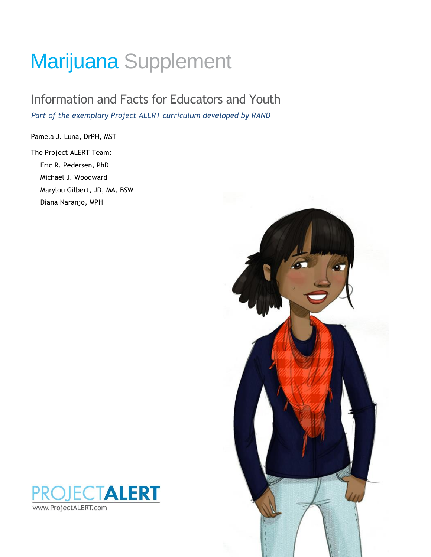# Marijuana Supplement

## Information and Facts for Educators and Youth *Part of the exemplary Project ALERT curriculum developed by RAND*

Pamela J. Luna, DrPH, MST

The Project ALERT Team: Eric R. Pedersen, PhD Michael J. Woodward Marylou Gilbert, JD, MA, BSW Diana Naranjo, MPH



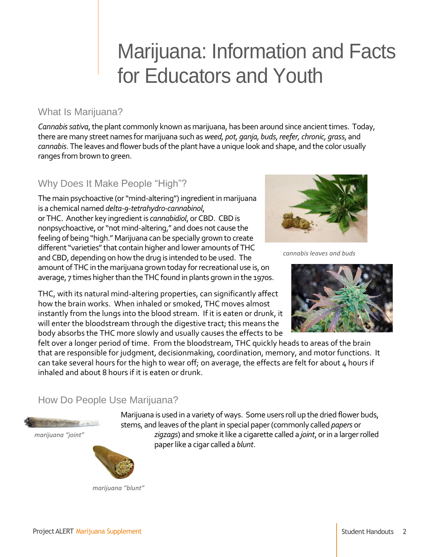## Marijuana: Information and Facts for Educators and Youth

## What Is Marijuana?

*Cannabis sativa*, the plant commonly known as marijuana, has been around since ancient times. Today, there are many street names for marijuana such as *weed, pot, ganja, buds, reefer, chronic, grass*, and *cannabis*. The leaves and flower buds of the plant have a unique look and shape, and the color usually ranges from brown to green.

## Why Does It Make People "High"?

The main psychoactive (or "mind-altering") ingredient in marijuana is a chemical named *delta-9-tetrahydro-cannabinol*, or THC. Another key ingredient is *cannabidiol*, or CBD. CBD is nonpsychoactive, or "not mind-altering," and does not cause the feeling of being "high." Marijuana can be specially grown to create different "varieties" that contain higher and lower amounts of THC and CBD, depending on how the drug is intended to be used. The amount of THC in the marijuana grown today for recreational use is, on average, 7 times higher than the THC found in plants grown in the 1970s.

THC, with its natural mind-altering properties, can significantly affect how the brain works. When inhaled or smoked, THC moves almost instantly from the lungs into the blood stream. If it is eaten or drunk, it will enter the bloodstream through the digestive tract; this means the body absorbs the THC more slowly and usually causes the effects to be



*cannabis leaves and buds*



felt over a longer period of time. From the bloodstream, THC quickly heads to areas of the brain that are responsible for judgment, decisionmaking, coordination, memory, and motor functions. It can take several hours for the high to wear off; on average, the effects are felt for about  $\mu$  hours if inhaled and about 8 hours if it is eaten or drunk.

## How Do People Use Marijuana?

*marijuana "joint"*



*marijuana "blunt"*

Marijuana is used in a variety of ways. Some users roll up the dried flower buds, stems, and leaves of the plant in special paper (commonly called *papers* or *zigzags*) and smoke it like a cigarette called a *joint*, or in a larger rolled paper like a cigar called a *blunt*.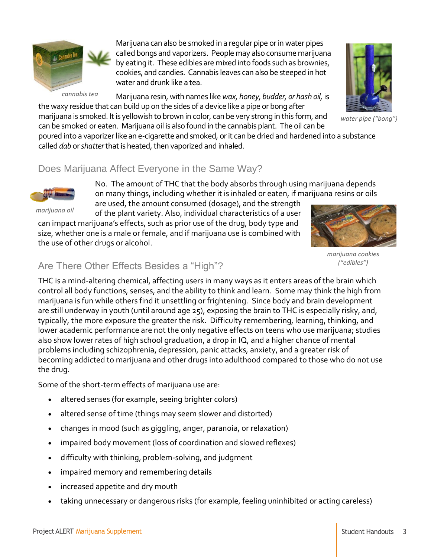

*cannabis tea*

Marijuana can also be smoked in a regular pipe or in water pipes called bongs and vaporizers. People may also consume marijuana by eating it. These edibles are mixed into foods such as brownies, cookies, and candies. Cannabis leaves can also be steeped in hot water and drunk like a tea.

Marijuana resin, with names like *wax, honey, budder, or hash oil,* is the waxy residue that can build up on the sides of a device like a pipe or bong after



*water pipe ("bong")*

marijuana is smoked. It is yellowish to brown in color, can be very strong in this form, and can be smoked or eaten. Marijuana oil is also found in the cannabis plant. The oil can be poured into a vaporizerlike an e-cigarette and smoked, or it can be dried and hardened into a substance

called *dab* or *shatter*that is heated, then vaporized and inhaled.

## Does Marijuana Affect Everyone in the Same Way?



*marijuana oil*

No. The amount of THC that the body absorbs through using marijuana depends on many things, including whether it is inhaled or eaten, if marijuana resins or oils

are used, the amount consumed (dosage), and the strength of the plant variety. Also, individual characteristics of a user can impact marijuana's effects, such as prior use of the drug, body type and size, whether one is a male or female, and if marijuana use is combined with the use of other drugs or alcohol.



*marijuana cookies ("edibles")*

## Are There Other Effects Besides a "High"?

THC is a mind-altering chemical, affecting users in many ways as it enters areas of the brain which control all body functions, senses, and the ability to think and learn. Some may think the high from marijuana is fun while others find it unsettling or frightening. Since body and brain development are still underway in youth (until around age 25), exposing the brain to THC is especially risky, and, typically, the more exposure the greater the risk. Difficulty remembering, learning, thinking, and lower academic performance are not the only negative effects on teens who use marijuana; studies also show lower rates of high school graduation, a drop in IQ, and a higher chance of mental problems including schizophrenia, depression, panic attacks, anxiety, and a greater risk of becoming addicted to marijuana and other drugs into adulthood compared to those who do not use the drug.

Some of the short-term effects of marijuana use are:

- altered senses (for example, seeing brighter colors)
- altered sense of time (things may seem slower and distorted)
- changes in mood (such as giggling, anger, paranoia, or relaxation)
- impaired body movement (loss of coordination and slowed reflexes)
- difficulty with thinking, problem-solving, and judgment
- impaired memory and remembering details
- increased appetite and dry mouth
- taking unnecessary or dangerous risks (for example, feeling uninhibited or acting careless)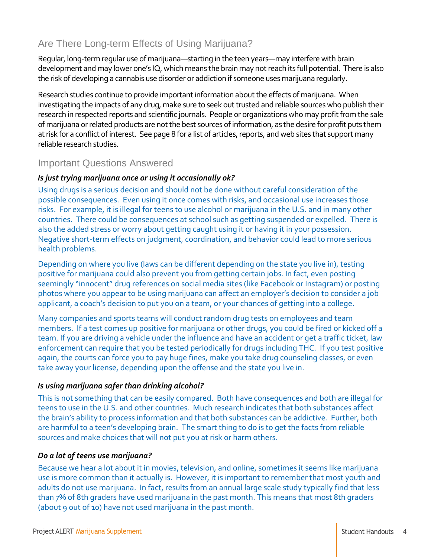## Are There Long-term Effects of Using Marijuana?

Regular, long-term regular use of marijuana—starting in the teen years—may interfere with brain development and may lower one's IQ, which means the brain may not reach its full potential. There is also the risk of developing a cannabis use disorder or addiction if someone uses marijuana regularly.

Research studies continue to provide important information about the effects of marijuana. When investigating the impacts of any drug, make sure to seek out trusted and reliable sources who publish their research in respected reports and scientific journals. People or organizations who may profit from the sale of marijuana or related products are not the best sources of information, as the desire for profit puts them at risk for a conflict of interest. See page 8 for a list of articles, reports, and web sites that support many reliable research studies.

## Important Questions Answered

#### *Is just trying marijuana once or using it occasionally ok?*

Using drugs is a serious decision and should not be done without careful consideration of the possible consequences. Even using it once comes with risks, and occasional use increases those risks. For example, it is illegal for teens to use alcohol or marijuana in the U.S. and in many other countries. There could be consequences at school such as getting suspended or expelled. There is also the added stress or worry about getting caught using it or having it in your possession. Negative short-term effects on judgment, coordination, and behavior could lead to more serious health problems.

Depending on where you live (laws can be different depending on the state you live in), testing positive for marijuana could also prevent you from getting certain jobs. In fact, even posting seemingly "innocent" drug references on social media sites (like Facebook or Instagram) or posting photos where you appear to be using marijuana can affect an employer's decision to consider a job applicant, a coach's decision to put you on a team, or your chances of getting into a college.

Many companies and sports teams will conduct random drug tests on employees and team members. If a test comes up positive for marijuana or other drugs, you could be fired or kicked off a team. If you are driving a vehicle under the influence and have an accident or get a traffic ticket, law enforcement can require that you be tested periodically for drugs including THC. If you test positive again, the courts can force you to pay huge fines, make you take drug counseling classes, or even take away your license, depending upon the offense and the state you live in.

#### *Is using marijuana safer than drinking alcohol?*

This is not something that can be easily compared. Both have consequences and both are illegal for teens to use in the U.S. and other countries. Much research indicates that both substances affect the brain's ability to process information and that both substances can be addictive. Further, both are harmful to a teen's developing brain. The smart thing to do is to get the facts from reliable sources and make choices that will not put you at risk or harm others.

#### *Do a lot of teens use marijuana?*

Because we hear a lot about it in movies, television, and online, sometimes it seems like marijuana use is more common than it actually is. However, it is important to remember that most youth and adults do not use marijuana. In fact, results from an annual large scale study typically find that less than 7% of 8th graders have used marijuana in the past month. This means that most 8th graders (about 9 out of 10) have not used marijuana in the past month.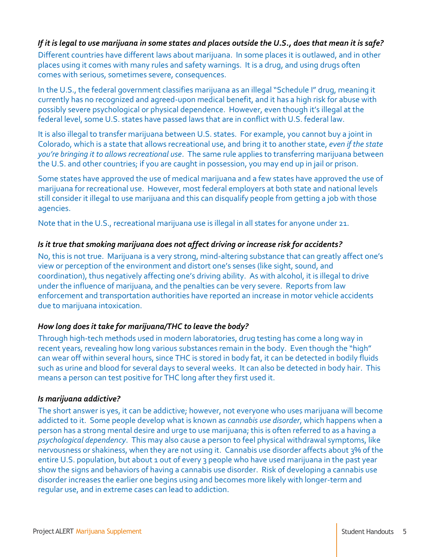#### *If it is legal to use marijuana in some states and places outside the U.S., does that mean it is safe?*

Different countries have different laws about marijuana. In some places it is outlawed, and in other places using it comes with many rules and safety warnings. It is a drug, and using drugs often comes with serious, sometimes severe, consequences.

In the U.S., the federal government classifies marijuana as an illegal "Schedule I" drug, meaning it currently has no recognized and agreed-upon medical benefit, and it has a high risk for abuse with possibly severe psychological or physical dependence. However, even though it's illegal at the federal level, some U.S. states have passed laws that are in conflict with U.S. federal law.

It is also illegal to transfer marijuana between U.S. states. For example, you cannot buy a joint in Colorado, which is a state that allows recreational use, and bring it to another state, *even if the state you're bringing it to allows recreational use*. The same rule applies to transferring marijuana between the U.S. and other countries; if you are caught in possession, you may end up in jail or prison.

Some states have approved the use of medical marijuana and a few states have approved the use of marijuana for recreational use. However, most federal employers at both state and national levels still consider it illegal to use marijuana and this can disqualify people from getting a job with those agencies.

Note that in the U.S., recreational marijuana use is illegal in all states for anyone under 21.

#### *Is it true that smoking marijuana does not affect driving or increase risk for accidents?*

No, this is not true. Marijuana is a very strong, mind-altering substance that can greatly affect one's view or perception of the environment and distort one's senses (like sight, sound, and coordination), thus negatively affecting one's driving ability. As with alcohol, it is illegal to drive under the influence of marijuana, and the penalties can be very severe. Reports from law enforcement and transportation authorities have reported an increase in motor vehicle accidents due to marijuana intoxication.

#### *How long does it take for marijuana/THC to leave the body?*

Through high-tech methods used in modern laboratories, drug testing has come a long way in recent years, revealing how long various substances remain in the body. Even though the "high" can wear off within several hours, since THC is stored in body fat, it can be detected in bodily fluids such as urine and blood for several days to several weeks. It can also be detected in body hair. This means a person can test positive for THC long after they first used it.

#### *Is marijuana addictive?*

The short answer is yes, it can be addictive; however, not everyone who uses marijuana will become addicted to it. Some people develop what is known as *cannabis use disorder*, which happens when a person has a strong mental desire and urge to use marijuana; this is often referred to as a having a *psychological dependency*. This may also cause a person to feel physical withdrawal symptoms, like nervousness or shakiness, when they are not using it. Cannabis use disorder affects about 3% of the entire U.S. population, but about 1 out of every 3 people who have used marijuana in the past year show the signs and behaviors of having a cannabis use disorder. Risk of developing a cannabis use disorder increases the earlier one begins using and becomes more likely with longer-term and regular use, and in extreme cases can lead to addiction.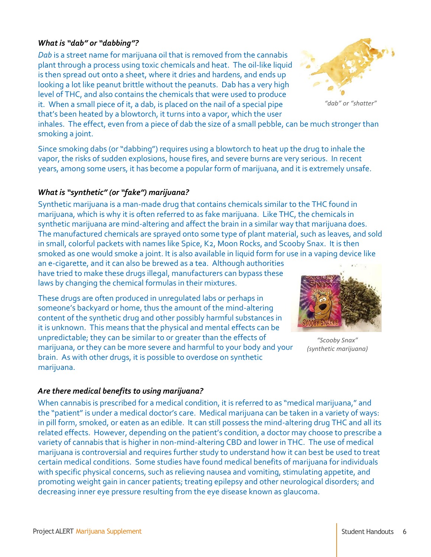#### *What is "dab" or "dabbing"?*

*Dab* is a street name for marijuana oil that is removed from the cannabis plant through a process using toxic chemicals and heat. The oil-like liquid is then spread out onto a sheet, where it dries and hardens, and ends up looking a lot like peanut brittle without the peanuts. Dab has a very high level of THC, and also contains the chemicals that were used to produce it. When a small piece of it, a dab, is placed on the nail of a special pipe that's been heated by a blowtorch, it turns into a vapor, which the user

*"dab" or "shatter"*

inhales. The effect, even from a piece of dab the size of a small pebble, can be much stronger than smoking a joint.

Since smoking dabs (or "dabbing") requires using a blowtorch to heat up the drug to inhale the vapor, the risks of sudden explosions, house fires, and severe burns are very serious. In recent years, among some users, it has become a popular form of marijuana, and it is extremely unsafe.

#### *What is "synthetic" (or "fake") marijuana?*

Synthetic marijuana is a man-made drug that contains chemicals similar to the THC found in marijuana, which is why it is often referred to as fake marijuana. Like THC, the chemicals in synthetic marijuana are mind-altering and affect the brain in a similar way that marijuana does. The manufactured chemicals are sprayed onto some type of plant material, such as leaves, and sold in small, colorful packets with names like Spice, K2, Moon Rocks, and Scooby Snax. It is then smoked as one would smoke a joint. It is also available in liquid form for use in a vaping device like

an e-cigarette, and it can also be brewed as a tea. Although authorities have tried to make these drugs illegal, manufacturers can bypass these laws by changing the chemical formulas in their mixtures.

These drugs are often produced in unregulated labs or perhaps in someone's backyard or home, thus the amount of the mind-altering content of the synthetic drug and other possibly harmful substances in it is unknown. This means that the physical and mental effects can be unpredictable; they can be similar to or greater than the effects of marijuana, or they can be more severe and harmful to your body and your brain. As with other drugs, it is possible to overdose on synthetic marijuana.



*"Scooby Snax" (synthetic marijuana)*

#### *Are there medical benefits to using marijuana?*

When cannabis is prescribed for a medical condition, it is referred to as "medical marijuana," and the "patient" is under a medical doctor's care. Medical marijuana can be taken in a variety of ways: in pill form, smoked, or eaten as an edible. It can still possess the mind-altering drug THC and all its related effects. However, depending on the patient's condition, a doctor may choose to prescribe a variety of cannabis that is higher in non-mind-altering CBD and lower in THC. The use of medical marijuana is controversial and requires further study to understand how it can best be used to treat certain medical conditions. Some studies have found medical benefits of marijuana for individuals with specific physical concerns, such as relieving nausea and vomiting, stimulating appetite, and promoting weight gain in cancer patients; treating epilepsy and other neurological disorders; and decreasing inner eye pressure resulting from the eye disease known as glaucoma.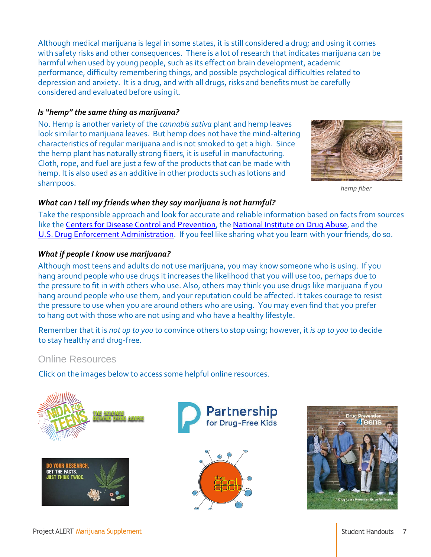Although medical marijuana is legal in some states, it is still considered a drug; and using it comes with safety risks and other consequences. There is a lot of research that indicates marijuana can be harmful when used by young people, such as its effect on brain development, academic performance, difficulty remembering things, and possible psychological difficulties related to depression and anxiety. It is a drug, and with all drugs, risks and benefits must be carefully considered and evaluated before using it.

#### *Is "hemp" the same thing as marijuana?*

No. Hemp is another variety of the *cannabis sativa* plant and hemp leaves look similar to marijuana leaves. But hemp does not have the mind-altering characteristics of regular marijuana and is not smoked to get a high. Since the hemp plant has naturally strong fibers, it is useful in manufacturing. Cloth, rope, and fuel are just a few of the products that can be made with hemp. It is also used as an additive in other products such as lotions and shampoos.



*hemp fiber*

#### *What can I tell my friends when they say marijuana is not harmful?*

Take the responsible approach and look for accurate and reliable information based on facts from sources like the [Centers for Disease Control and Prevention,](http://www.cdc.gov/) the [National Institute on Drug Abuse,](http://www.drugabuse.gov/) and the [U.S. Drug Enforcement Administration.](http://www.dea.gov/) If you feel like sharing what you learn with your friends, do so.

#### *What if people I know use marijuana?*

Although most teens and adults do not use marijuana, you may know someone who is using. If you hang around people who use drugs it increases the likelihood that you will use too, perhaps due to the pressure to fit in with others who use. Also, others may think you use drugs like marijuana if you hang around people who use them, and your reputation could be affected. It takes courage to resist the pressure to use when you are around others who are using. You may even find that you prefer to hang out with those who are not using and who have a healthy lifestyle.

Remember that it is *not up to you* to convince others to stop using; however, it *is up to you* to decide to stay healthy and drug-free.

### Online Resources

Click on the images below to access some helpful online resources.



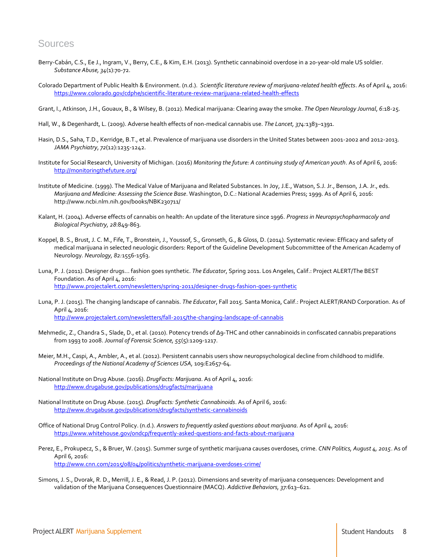#### Sources

- [Berry-Cabán, C.S.](http://www.ncbi.nlm.nih.gov/pubmed/?term=Berry-Cab%C3%A1n%20CS%5BAuthor%5D&cauthor=true&cauthor_uid=23327506)[, Ee J.](http://www.ncbi.nlm.nih.gov/pubmed/?term=Ee%20J%5BAuthor%5D&cauthor=true&cauthor_uid=23327506)[, Ingram, V.](http://www.ncbi.nlm.nih.gov/pubmed/?term=Ingram%20V%5BAuthor%5D&cauthor=true&cauthor_uid=23327506)[, Berry, C.E.](http://www.ncbi.nlm.nih.gov/pubmed/?term=Berry%20CE%5BAuthor%5D&cauthor=true&cauthor_uid=23327506), [& Kim, E.H.](http://www.ncbi.nlm.nih.gov/pubmed/?term=Kim%20EH%5BAuthor%5D&cauthor=true&cauthor_uid=23327506) (2013). Synthetic cannabinoid overdose in a 20-year-old male US soldier. *Substance Abuse, 34*(1):70-72.
- Colorado Department of Public Health & Environment. (n.d.). *Scientific literature review of marijuana-related health effects*. As of April 4, 2016: <https://www.colorado.gov/cdphe/scientific-literature-review-marijuana-related-health-effects>
- Grant, I., Atkinson, J.H., Gouaux, B., & Wilsey, B. (2012). Medical marijuana: Clearing away the smoke. *The Open Neurology Journal*, *6*:18-25.
- Hall, W., & Degenhardt, L. (2009). Adverse health effects of non-medical cannabis use. *The Lancet, 374:*1383–1391.
- Hasin, D.S., Saha, T.D., Kerridge, B.T., et al. Prevalence of marijuana use disorders in the United States between 2001-2002 and 2012-2013. *JAMA Psychiatry*, *72*(12):1235-1242.
- Institute for Social Research, University of Michigan. (2016) *Monitoring the future: A continuing study of American youth*. As of April 6, 2016: <http://monitoringthefuture.org/>
- Institute of Medicine. (1999). The Medical Value of Marijuana and Related Substances. In Joy, J.E., Watson, S.J. Jr., Benson, J.A. Jr., eds. *Marijuana and Medicine: Assessing the Science Base*. Washington, D.C.: National Academies Press; 1999. As of April 6, 2016: http://www.ncbi.nlm.nih.gov/books/NBK230711/
- Kalant, H. (2004). Adverse effects of cannabis on health: An update of the literature since 1996. *Progress in Neuropsychopharmacoly and Biological Psychiatry, 28*:849-863.
- Koppel, B. S., Brust, J. C. M., Fife, T., Bronstein, J., Youssof, S., Gronseth, G., & Gloss, D. (2014). Systematic review: Efficacy and safety of medical marijuana in selected neuologic disorders: Report of the Guideline Development Subcommittee of the American Academy of Neurology*. Neurology, 82:*1556-1563.
- Luna, P. J. (2011). Designer drugs... fashion goes synthetic. *The Educator*, Spring 2011. Los Angeles, Calif.: Project ALERT/The BEST Foundation. As of April 4, 2016: <http://www.projectalert.com/newsletters/spring-2011/designer-drugs-fashion-goes-synthetic>
- Luna, P. J. (2015). The changing landscape of cannabis. *The Educator*, Fall 2015. Santa Monica, Calif.: Project ALERT/RAND Corporation. As of April 4, 2016: <http://www.projectalert.com/newsletters/fall-2015/the-changing-landscape-of-cannabis>
- Mehmedic, Z., Chandra S., Slade, D., et al. (2010). Potency trends of Δ9-THC and other cannabinoids in confiscated cannabis preparations from 1993 to 2008. *Journal of Forensic Science, 55*(5):1209-1217.
- Meier, M.H., Caspi, A., Ambler, A., et al. (2012). Persistent cannabis users show neuropsychological decline from childhood to midlife*. Proceedings of the National Academy of Sciences USA,* 109:E2657-64.
- National Institute on Drug Abuse. (2016). *DrugFacts: Marijuana*. As of April 4, 2016: <http://www.drugabuse.gov/publications/drugfacts/marijuana>
- National Institute on Drug Abuse. (2015). *DrugFacts: Synthetic Cannabinoids*. As of April 6, 2016: <http://www.drugabuse.gov/publications/drugfacts/synthetic-cannabinoids>
- Office of National Drug Control Policy. (n.d.). *Answers to frequently asked questions about marijuana*. As of April 4, 2016: <https://www.whitehouse.gov/ondcp/frequently-asked-questions-and-facts-about-marijuana>
- Perez, E., Prokupecz, S., & Bruer, W. (2015). Summer surge of synthetic marijuana causes overdoses, crime. *CNN Politics, August 4, 2015*. As of April 6, 2016: <http://www.cnn.com/2015/08/04/politics/synthetic-marijuana-overdoses-crime/>
- Simons, J. S., Dvorak, R. D., Merrill, J. E., & Read, J. P. (2012). Dimensions and severity of marijuana consequences: Development and validation of the Marijuana Consequences Questionnaire (MACQ). *Addictive Behaviors, 37:*613–621.